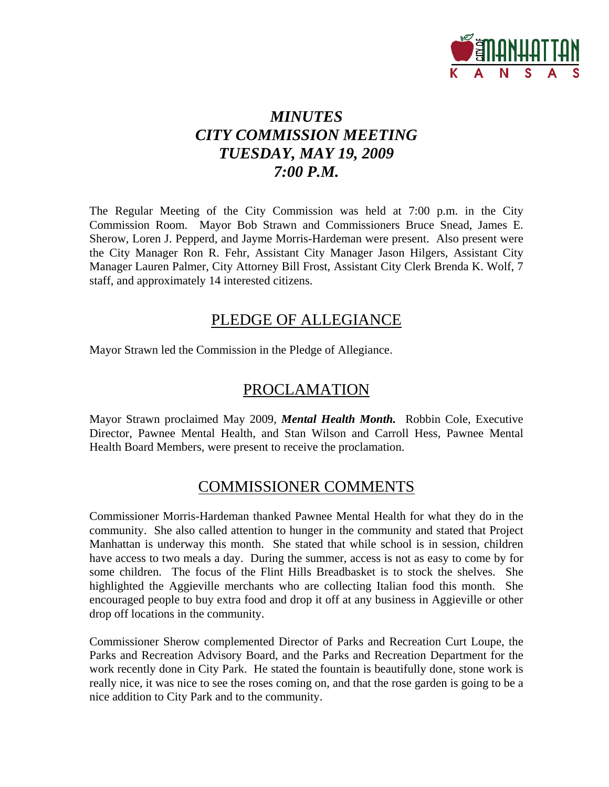

# *MINUTES CITY COMMISSION MEETING TUESDAY, MAY 19, 2009 7:00 P.M.*

The Regular Meeting of the City Commission was held at 7:00 p.m. in the City Commission Room. Mayor Bob Strawn and Commissioners Bruce Snead, James E. Sherow, Loren J. Pepperd, and Jayme Morris-Hardeman were present. Also present were the City Manager Ron R. Fehr, Assistant City Manager Jason Hilgers, Assistant City Manager Lauren Palmer, City Attorney Bill Frost, Assistant City Clerk Brenda K. Wolf, 7 staff, and approximately 14 interested citizens.

# PLEDGE OF ALLEGIANCE

Mayor Strawn led the Commission in the Pledge of Allegiance.

# PROCLAMATION

Mayor Strawn proclaimed May 2009, *Mental Health Month.* Robbin Cole, Executive Director, Pawnee Mental Health, and Stan Wilson and Carroll Hess, Pawnee Mental Health Board Members, were present to receive the proclamation.

# COMMISSIONER COMMENTS

Commissioner Morris-Hardeman thanked Pawnee Mental Health for what they do in the community. She also called attention to hunger in the community and stated that Project Manhattan is underway this month. She stated that while school is in session, children have access to two meals a day. During the summer, access is not as easy to come by for some children. The focus of the Flint Hills Breadbasket is to stock the shelves. She highlighted the Aggieville merchants who are collecting Italian food this month. She encouraged people to buy extra food and drop it off at any business in Aggieville or other drop off locations in the community.

Commissioner Sherow complemented Director of Parks and Recreation Curt Loupe, the Parks and Recreation Advisory Board, and the Parks and Recreation Department for the work recently done in City Park. He stated the fountain is beautifully done, stone work is really nice, it was nice to see the roses coming on, and that the rose garden is going to be a nice addition to City Park and to the community.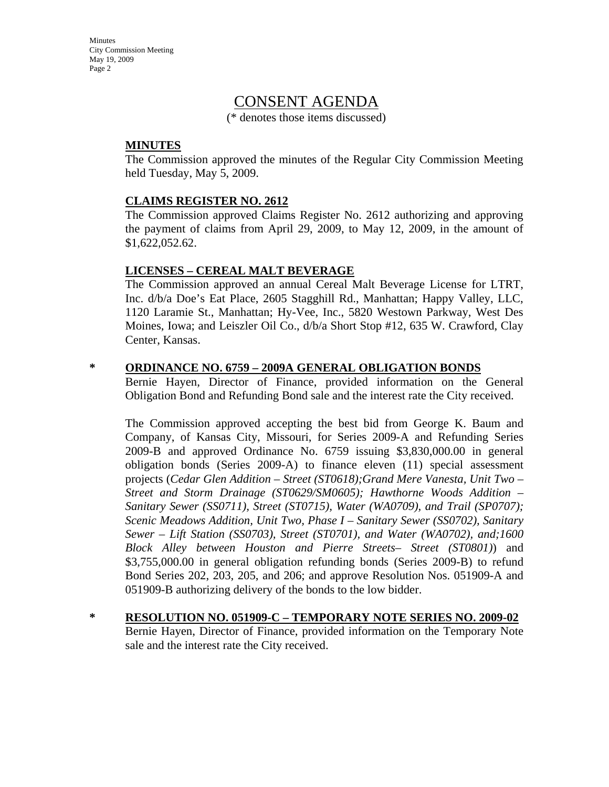# CONSENT AGENDA

(\* denotes those items discussed)

#### **MINUTES**

The Commission approved the minutes of the Regular City Commission Meeting held Tuesday, May 5, 2009.

#### **CLAIMS REGISTER NO. 2612**

The Commission approved Claims Register No. 2612 authorizing and approving the payment of claims from April 29, 2009, to May 12, 2009, in the amount of \$1,622,052.62.

#### **LICENSES – CEREAL MALT BEVERAGE**

The Commission approved an annual Cereal Malt Beverage License for LTRT, Inc. d/b/a Doe's Eat Place, 2605 Stagghill Rd., Manhattan; Happy Valley, LLC, 1120 Laramie St., Manhattan; Hy-Vee, Inc., 5820 Westown Parkway, West Des Moines, Iowa; and Leiszler Oil Co., d/b/a Short Stop #12, 635 W. Crawford, Clay Center, Kansas.

#### **\* ORDINANCE NO. 6759 – 2009A GENERAL OBLIGATION BONDS**

Bernie Hayen, Director of Finance, provided information on the General Obligation Bond and Refunding Bond sale and the interest rate the City received.

The Commission approved accepting the best bid from George K. Baum and Company, of Kansas City, Missouri, for Series 2009-A and Refunding Series 2009-B and approved Ordinance No. 6759 issuing \$3,830,000.00 in general obligation bonds (Series 2009-A) to finance eleven (11) special assessment projects (*Cedar Glen Addition – Street (ST0618);Grand Mere Vanesta, Unit Two – Street and Storm Drainage (ST0629/SM0605); Hawthorne Woods Addition – Sanitary Sewer (SS0711), Street (ST0715), Water (WA0709), and Trail (SP0707); Scenic Meadows Addition, Unit Two, Phase I – Sanitary Sewer (SS0702), Sanitary Sewer – Lift Station (SS0703), Street (ST0701), and Water (WA0702), and;1600 Block Alley between Houston and Pierre Streets– Street (ST0801)*) and \$3,755,000.00 in general obligation refunding bonds (Series 2009-B) to refund Bond Series 202, 203, 205, and 206; and approve Resolution Nos. 051909-A and 051909-B authorizing delivery of the bonds to the low bidder.

**\* RESOLUTION NO. 051909-C – TEMPORARY NOTE SERIES NO. 2009-02** Bernie Hayen, Director of Finance, provided information on the Temporary Note sale and the interest rate the City received.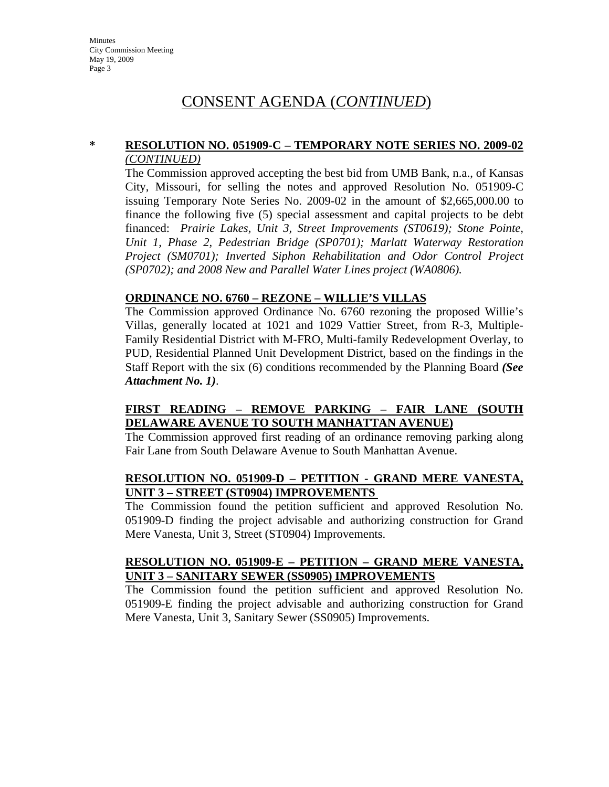# CONSENT AGENDA (*CONTINUED*)

### **\* RESOLUTION NO. 051909-C – TEMPORARY NOTE SERIES NO. 2009-02** *(CONTINUED)*

The Commission approved accepting the best bid from UMB Bank, n.a., of Kansas City, Missouri, for selling the notes and approved Resolution No. 051909-C issuing Temporary Note Series No. 2009-02 in the amount of \$2,665,000.00 to finance the following five (5) special assessment and capital projects to be debt financed: *Prairie Lakes, Unit 3, Street Improvements (ST0619); Stone Pointe, Unit 1, Phase 2, Pedestrian Bridge (SP0701); Marlatt Waterway Restoration Project (SM0701); Inverted Siphon Rehabilitation and Odor Control Project (SP0702); and 2008 New and Parallel Water Lines project (WA0806).* 

### **ORDINANCE NO. 6760 – REZONE – WILLIE'S VILLAS**

The Commission approved Ordinance No. 6760 rezoning the proposed Willie's Villas, generally located at 1021 and 1029 Vattier Street, from R-3, Multiple-Family Residential District with M-FRO, Multi-family Redevelopment Overlay, to PUD, Residential Planned Unit Development District, based on the findings in the Staff Report with the six (6) conditions recommended by the Planning Board *(See Attachment No. 1)*.

### **FIRST READING – REMOVE PARKING – FAIR LANE (SOUTH DELAWARE AVENUE TO SOUTH MANHATTAN AVENUE)**

The Commission approved first reading of an ordinance removing parking along Fair Lane from South Delaware Avenue to South Manhattan Avenue.

#### **RESOLUTION NO. 051909-D – PETITION - GRAND MERE VANESTA, UNIT 3 – STREET (ST0904) IMPROVEMENTS**

The Commission found the petition sufficient and approved Resolution No. 051909-D finding the project advisable and authorizing construction for Grand Mere Vanesta, Unit 3, Street (ST0904) Improvements.

#### **RESOLUTION NO. 051909-E – PETITION – GRAND MERE VANESTA, UNIT 3 – SANITARY SEWER (SS0905) IMPROVEMENTS**

The Commission found the petition sufficient and approved Resolution No. 051909-E finding the project advisable and authorizing construction for Grand Mere Vanesta, Unit 3, Sanitary Sewer (SS0905) Improvements.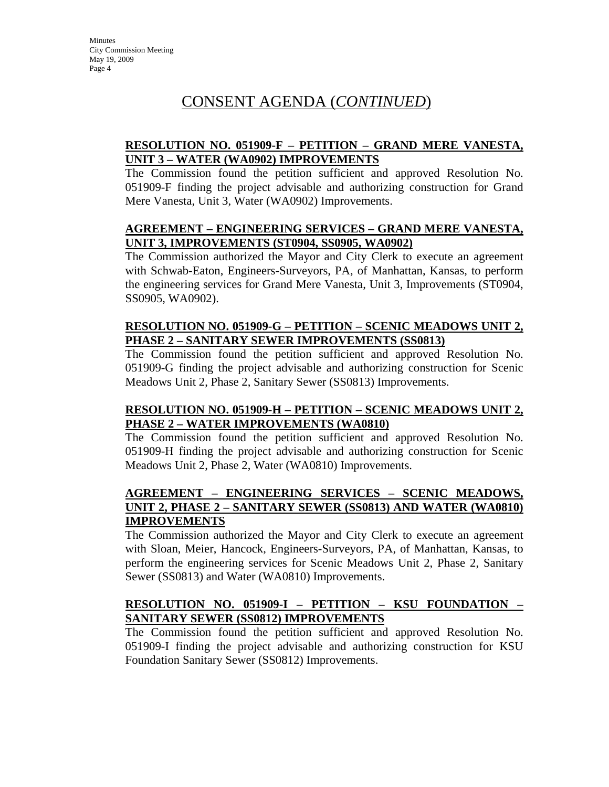# CONSENT AGENDA (*CONTINUED*)

## **RESOLUTION NO. 051909-F – PETITION – GRAND MERE VANESTA, UNIT 3 – WATER (WA0902) IMPROVEMENTS**

The Commission found the petition sufficient and approved Resolution No. 051909-F finding the project advisable and authorizing construction for Grand Mere Vanesta, Unit 3, Water (WA0902) Improvements.

### **AGREEMENT – ENGINEERING SERVICES – GRAND MERE VANESTA, UNIT 3, IMPROVEMENTS (ST0904, SS0905, WA0902)**

The Commission authorized the Mayor and City Clerk to execute an agreement with Schwab-Eaton, Engineers-Surveyors, PA, of Manhattan, Kansas, to perform the engineering services for Grand Mere Vanesta, Unit 3, Improvements (ST0904, SS0905, WA0902).

#### **RESOLUTION NO. 051909-G – PETITION – SCENIC MEADOWS UNIT 2, PHASE 2 – SANITARY SEWER IMPROVEMENTS (SS0813)**

The Commission found the petition sufficient and approved Resolution No. 051909-G finding the project advisable and authorizing construction for Scenic Meadows Unit 2, Phase 2, Sanitary Sewer (SS0813) Improvements.

### **RESOLUTION NO. 051909-H – PETITION – SCENIC MEADOWS UNIT 2, PHASE 2 – WATER IMPROVEMENTS (WA0810)**

The Commission found the petition sufficient and approved Resolution No. 051909-H finding the project advisable and authorizing construction for Scenic Meadows Unit 2, Phase 2, Water (WA0810) Improvements.

### **AGREEMENT – ENGINEERING SERVICES – SCENIC MEADOWS, UNIT 2, PHASE 2 – SANITARY SEWER (SS0813) AND WATER (WA0810) IMPROVEMENTS**

The Commission authorized the Mayor and City Clerk to execute an agreement with Sloan, Meier, Hancock, Engineers-Surveyors, PA, of Manhattan, Kansas, to perform the engineering services for Scenic Meadows Unit 2, Phase 2, Sanitary Sewer (SS0813) and Water (WA0810) Improvements.

# **RESOLUTION NO. 051909-I – PETITION – KSU FOUNDATION – SANITARY SEWER (SS0812) IMPROVEMENTS**

The Commission found the petition sufficient and approved Resolution No. 051909-I finding the project advisable and authorizing construction for KSU Foundation Sanitary Sewer (SS0812) Improvements.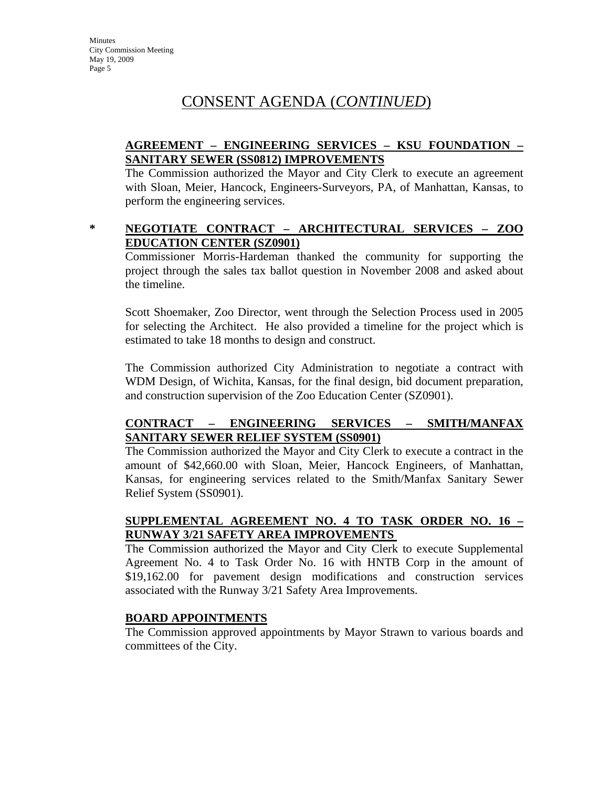# CONSENT AGENDA (*CONTINUED*)

## **AGREEMENT – ENGINEERING SERVICES – KSU FOUNDATION – SANITARY SEWER (SS0812) IMPROVEMENTS**

The Commission authorized the Mayor and City Clerk to execute an agreement with Sloan, Meier, Hancock, Engineers-Surveyors, PA, of Manhattan, Kansas, to perform the engineering services.

### **\* NEGOTIATE CONTRACT – ARCHITECTURAL SERVICES – ZOO EDUCATION CENTER (SZ0901)**

Commissioner Morris-Hardeman thanked the community for supporting the project through the sales tax ballot question in November 2008 and asked about the timeline.

Scott Shoemaker, Zoo Director, went through the Selection Process used in 2005 for selecting the Architect. He also provided a timeline for the project which is estimated to take 18 months to design and construct.

The Commission authorized City Administration to negotiate a contract with WDM Design, of Wichita, Kansas, for the final design, bid document preparation, and construction supervision of the Zoo Education Center (SZ0901).

### **CONTRACT – ENGINEERING SERVICES – SMITH/MANFAX SANITARY SEWER RELIEF SYSTEM (SS0901)**

The Commission authorized the Mayor and City Clerk to execute a contract in the amount of \$42,660.00 with Sloan, Meier, Hancock Engineers, of Manhattan, Kansas, for engineering services related to the Smith/Manfax Sanitary Sewer Relief System (SS0901).

# **SUPPLEMENTAL AGREEMENT NO. 4 TO TASK ORDER NO. 16 – RUNWAY 3/21 SAFETY AREA IMPROVEMENTS**

The Commission authorized the Mayor and City Clerk to execute Supplemental Agreement No. 4 to Task Order No. 16 with HNTB Corp in the amount of \$19,162.00 for pavement design modifications and construction services associated with the Runway 3/21 Safety Area Improvements.

#### **BOARD APPOINTMENTS**

The Commission approved appointments by Mayor Strawn to various boards and committees of the City.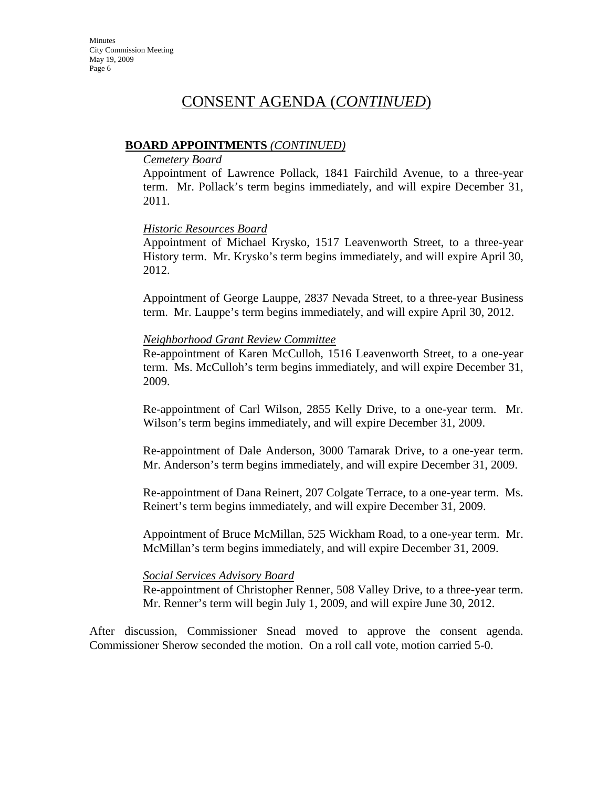# CONSENT AGENDA (*CONTINUED*)

#### **BOARD APPOINTMENTS** *(CONTINUED)*

#### *Cemetery Board*

Appointment of Lawrence Pollack, 1841 Fairchild Avenue, to a three-year term. Mr. Pollack's term begins immediately, and will expire December 31, 2011.

#### *Historic Resources Board*

Appointment of Michael Krysko, 1517 Leavenworth Street, to a three-year History term. Mr. Krysko's term begins immediately, and will expire April 30, 2012.

Appointment of George Lauppe, 2837 Nevada Street, to a three-year Business term. Mr. Lauppe's term begins immediately, and will expire April 30, 2012.

#### *Neighborhood Grant Review Committee*

Re-appointment of Karen McCulloh, 1516 Leavenworth Street, to a one-year term. Ms. McCulloh's term begins immediately, and will expire December 31, 2009.

Re-appointment of Carl Wilson, 2855 Kelly Drive, to a one-year term. Mr. Wilson's term begins immediately, and will expire December 31, 2009.

Re-appointment of Dale Anderson, 3000 Tamarak Drive, to a one-year term. Mr. Anderson's term begins immediately, and will expire December 31, 2009.

Re-appointment of Dana Reinert, 207 Colgate Terrace, to a one-year term. Ms. Reinert's term begins immediately, and will expire December 31, 2009.

Appointment of Bruce McMillan, 525 Wickham Road, to a one-year term. Mr. McMillan's term begins immediately, and will expire December 31, 2009.

#### *Social Services Advisory Board*

Re-appointment of Christopher Renner, 508 Valley Drive, to a three-year term. Mr. Renner's term will begin July 1, 2009, and will expire June 30, 2012.

After discussion, Commissioner Snead moved to approve the consent agenda. Commissioner Sherow seconded the motion. On a roll call vote, motion carried 5-0.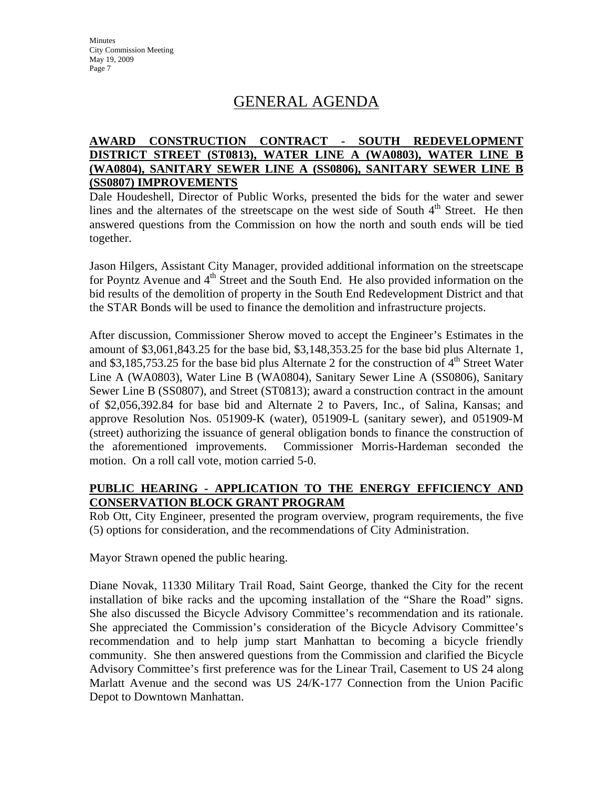# GENERAL AGENDA

## **AWARD CONSTRUCTION CONTRACT - SOUTH REDEVELOPMENT DISTRICT STREET (ST0813), WATER LINE A (WA0803), WATER LINE B (WA0804), SANITARY SEWER LINE A (SS0806), SANITARY SEWER LINE B (SS0807) IMPROVEMENTS**

Dale Houdeshell, Director of Public Works, presented the bids for the water and sewer lines and the alternates of the streetscape on the west side of South  $4<sup>th</sup>$  Street. He then answered questions from the Commission on how the north and south ends will be tied together.

Jason Hilgers, Assistant City Manager, provided additional information on the streetscape for Poyntz Avenue and  $4<sup>th</sup>$  Street and the South End. He also provided information on the bid results of the demolition of property in the South End Redevelopment District and that the STAR Bonds will be used to finance the demolition and infrastructure projects.

After discussion, Commissioner Sherow moved to accept the Engineer's Estimates in the amount of \$3,061,843.25 for the base bid, \$3,148,353.25 for the base bid plus Alternate 1, and \$3,185,753.25 for the base bid plus Alternate 2 for the construction of  $4<sup>th</sup>$  Street Water Line A (WA0803), Water Line B (WA0804), Sanitary Sewer Line A (SS0806), Sanitary Sewer Line B (SS0807), and Street (ST0813); award a construction contract in the amount of \$2,056,392.84 for base bid and Alternate 2 to Pavers, Inc., of Salina, Kansas; and approve Resolution Nos. 051909-K (water), 051909-L (sanitary sewer), and 051909-M (street) authorizing the issuance of general obligation bonds to finance the construction of the aforementioned improvements. Commissioner Morris-Hardeman seconded the motion. On a roll call vote, motion carried 5-0.

## **PUBLIC HEARING - APPLICATION TO THE ENERGY EFFICIENCY AND CONSERVATION BLOCK GRANT PROGRAM**

Rob Ott, City Engineer, presented the program overview, program requirements, the five (5) options for consideration, and the recommendations of City Administration.

Mayor Strawn opened the public hearing.

Diane Novak, 11330 Military Trail Road, Saint George, thanked the City for the recent installation of bike racks and the upcoming installation of the "Share the Road" signs. She also discussed the Bicycle Advisory Committee's recommendation and its rationale. She appreciated the Commission's consideration of the Bicycle Advisory Committee's recommendation and to help jump start Manhattan to becoming a bicycle friendly community. She then answered questions from the Commission and clarified the Bicycle Advisory Committee's first preference was for the Linear Trail, Casement to US 24 along Marlatt Avenue and the second was US 24/K-177 Connection from the Union Pacific Depot to Downtown Manhattan.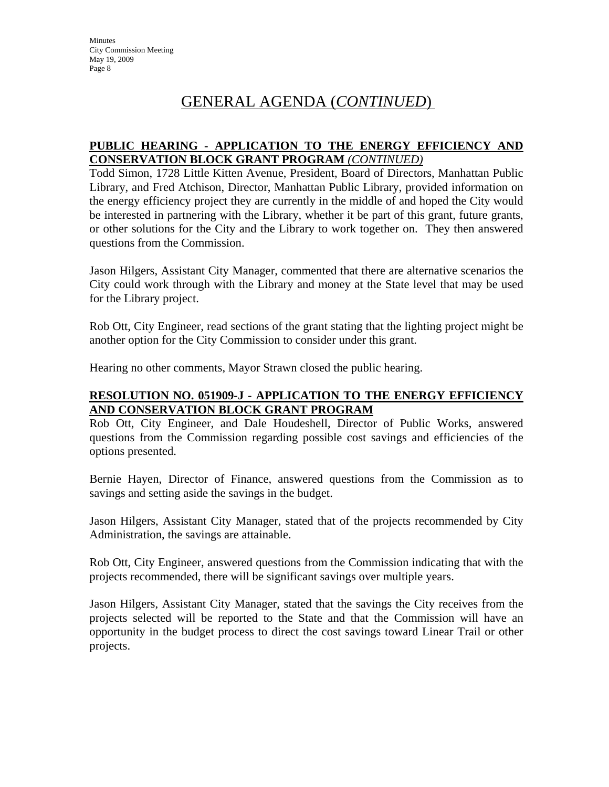# GENERAL AGENDA (*CONTINUED*)

### **PUBLIC HEARING - APPLICATION TO THE ENERGY EFFICIENCY AND CONSERVATION BLOCK GRANT PROGRAM** *(CONTINUED)*

Todd Simon, 1728 Little Kitten Avenue, President, Board of Directors, Manhattan Public Library, and Fred Atchison, Director, Manhattan Public Library, provided information on the energy efficiency project they are currently in the middle of and hoped the City would be interested in partnering with the Library, whether it be part of this grant, future grants, or other solutions for the City and the Library to work together on. They then answered questions from the Commission.

Jason Hilgers, Assistant City Manager, commented that there are alternative scenarios the City could work through with the Library and money at the State level that may be used for the Library project.

Rob Ott, City Engineer, read sections of the grant stating that the lighting project might be another option for the City Commission to consider under this grant.

Hearing no other comments, Mayor Strawn closed the public hearing.

### **RESOLUTION NO. 051909-J - APPLICATION TO THE ENERGY EFFICIENCY AND CONSERVATION BLOCK GRANT PROGRAM**

Rob Ott, City Engineer, and Dale Houdeshell, Director of Public Works, answered questions from the Commission regarding possible cost savings and efficiencies of the options presented.

Bernie Hayen, Director of Finance, answered questions from the Commission as to savings and setting aside the savings in the budget.

Jason Hilgers, Assistant City Manager, stated that of the projects recommended by City Administration, the savings are attainable.

Rob Ott, City Engineer, answered questions from the Commission indicating that with the projects recommended, there will be significant savings over multiple years.

Jason Hilgers, Assistant City Manager, stated that the savings the City receives from the projects selected will be reported to the State and that the Commission will have an opportunity in the budget process to direct the cost savings toward Linear Trail or other projects.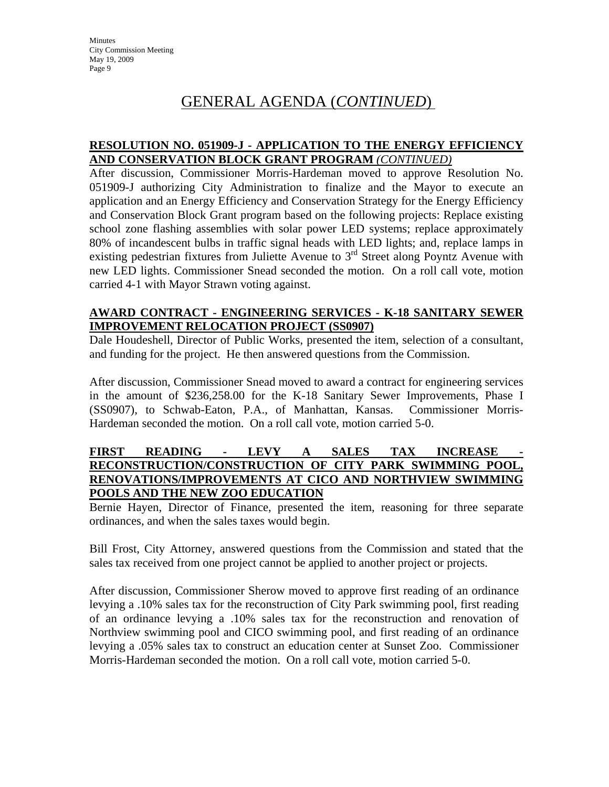# GENERAL AGENDA (*CONTINUED*)

#### **RESOLUTION NO. 051909-J - APPLICATION TO THE ENERGY EFFICIENCY AND CONSERVATION BLOCK GRANT PROGRAM** *(CONTINUED)*

After discussion, Commissioner Morris-Hardeman moved to approve Resolution No. 051909-J authorizing City Administration to finalize and the Mayor to execute an application and an Energy Efficiency and Conservation Strategy for the Energy Efficiency and Conservation Block Grant program based on the following projects: Replace existing school zone flashing assemblies with solar power LED systems; replace approximately 80% of incandescent bulbs in traffic signal heads with LED lights; and, replace lamps in existing pedestrian fixtures from Juliette Avenue to 3<sup>rd</sup> Street along Poyntz Avenue with new LED lights. Commissioner Snead seconded the motion. On a roll call vote, motion carried 4-1 with Mayor Strawn voting against.

#### **AWARD CONTRACT - ENGINEERING SERVICES - K-18 SANITARY SEWER IMPROVEMENT RELOCATION PROJECT (SS0907)**

Dale Houdeshell, Director of Public Works, presented the item, selection of a consultant, and funding for the project. He then answered questions from the Commission.

After discussion, Commissioner Snead moved to award a contract for engineering services in the amount of \$236,258.00 for the K-18 Sanitary Sewer Improvements, Phase I (SS0907), to Schwab-Eaton, P.A., of Manhattan, Kansas. Commissioner Morris-Hardeman seconded the motion. On a roll call vote, motion carried 5-0.

#### **FIRST READING - LEVY A SALES TAX INCREASE - RECONSTRUCTION/CONSTRUCTION OF CITY PARK SWIMMING POOL, RENOVATIONS/IMPROVEMENTS AT CICO AND NORTHVIEW SWIMMING POOLS AND THE NEW ZOO EDUCATION**

Bernie Hayen, Director of Finance, presented the item, reasoning for three separate ordinances, and when the sales taxes would begin.

Bill Frost, City Attorney, answered questions from the Commission and stated that the sales tax received from one project cannot be applied to another project or projects.

After discussion, Commissioner Sherow moved to approve first reading of an ordinance levying a .10% sales tax for the reconstruction of City Park swimming pool, first reading of an ordinance levying a .10% sales tax for the reconstruction and renovation of Northview swimming pool and CICO swimming pool, and first reading of an ordinance levying a .05% sales tax to construct an education center at Sunset Zoo. Commissioner Morris-Hardeman seconded the motion. On a roll call vote, motion carried 5-0.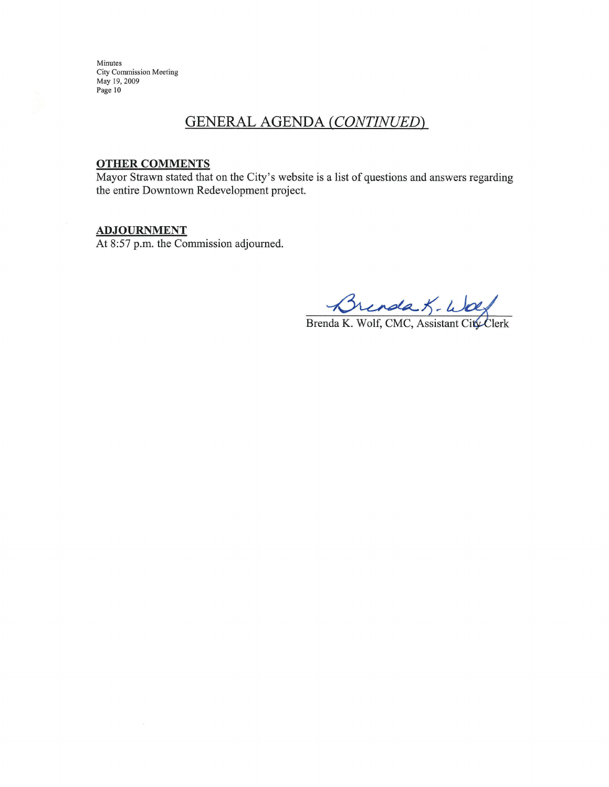# **GENERAL AGENDA (CONTINUED)**

#### **OTHER COMMENTS**

Mayor Strawn stated that on the City's website is a list of questions and answers regarding the entire Downtown Redevelopment project.

 $ADJOURNMENT$ <br>At 8:57 p.m. the Commission adjourned.

Brenda K - Wolf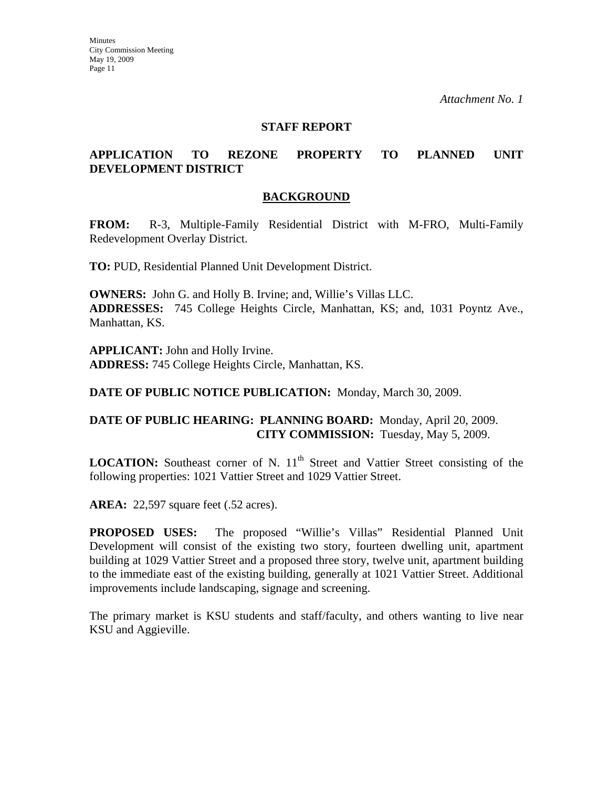#### **STAFF REPORT**

#### **APPLICATION TO REZONE PROPERTY TO PLANNED UNIT DEVELOPMENT DISTRICT**

#### **BACKGROUND**

**FROM:** R-3, Multiple-Family Residential District with M-FRO, Multi-Family Redevelopment Overlay District.

**TO:** PUD, Residential Planned Unit Development District.

**OWNERS:** John G. and Holly B. Irvine; and, Willie's Villas LLC. **ADDRESSES:** 745 College Heights Circle, Manhattan, KS; and, 1031 Poyntz Ave., Manhattan, KS.

**APPLICANT:** John and Holly Irvine. **ADDRESS:** 745 College Heights Circle, Manhattan, KS.

**DATE OF PUBLIC NOTICE PUBLICATION:** Monday, March 30, 2009.

#### **DATE OF PUBLIC HEARING: PLANNING BOARD:** Monday, April 20, 2009. **CITY COMMISSION:** Tuesday, May 5, 2009.

**LOCATION:** Southeast corner of N. 11<sup>th</sup> Street and Vattier Street consisting of the following properties: 1021 Vattier Street and 1029 Vattier Street.

**AREA:** 22,597 square feet (.52 acres).

**PROPOSED USES:** The proposed "Willie's Villas" Residential Planned Unit Development will consist of the existing two story, fourteen dwelling unit, apartment building at 1029 Vattier Street and a proposed three story, twelve unit, apartment building to the immediate east of the existing building, generally at 1021 Vattier Street. Additional improvements include landscaping, signage and screening.

The primary market is KSU students and staff/faculty, and others wanting to live near KSU and Aggieville.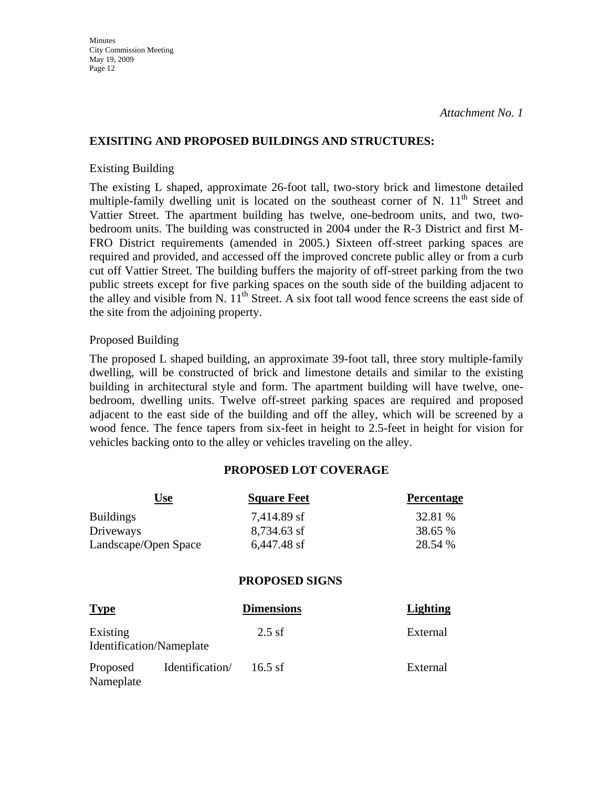#### **EXISITING AND PROPOSED BUILDINGS AND STRUCTURES:**

#### Existing Building

The existing L shaped, approximate 26-foot tall, two-story brick and limestone detailed multiple-family dwelling unit is located on the southeast corner of N.  $11<sup>th</sup>$  Street and Vattier Street. The apartment building has twelve, one-bedroom units, and two, twobedroom units. The building was constructed in 2004 under the R-3 District and first M-FRO District requirements (amended in 2005.) Sixteen off-street parking spaces are required and provided, and accessed off the improved concrete public alley or from a curb cut off Vattier Street. The building buffers the majority of off-street parking from the two public streets except for five parking spaces on the south side of the building adjacent to the alley and visible from N.  $11<sup>th</sup>$  Street. A six foot tall wood fence screens the east side of the site from the adjoining property.

#### Proposed Building

The proposed L shaped building, an approximate 39-foot tall, three story multiple-family dwelling, will be constructed of brick and limestone details and similar to the existing building in architectural style and form. The apartment building will have twelve, onebedroom, dwelling units. Twelve off-street parking spaces are required and proposed adjacent to the east side of the building and off the alley, which will be screened by a wood fence. The fence tapers from six-feet in height to 2.5-feet in height for vision for vehicles backing onto to the alley or vehicles traveling on the alley.

### **PROPOSED LOT COVERAGE**

|                                      | <b>Use</b>      | <b>Square Feet</b>    | Percentage      |
|--------------------------------------|-----------------|-----------------------|-----------------|
| <b>Buildings</b>                     |                 | 7,414.89 sf           | 32.81 %         |
| Driveways                            |                 | 8,734.63 sf           | 38.65 %         |
| Landscape/Open Space                 |                 | 6,447.48 sf           | 28.54 %         |
|                                      |                 | <b>PROPOSED SIGNS</b> |                 |
| <b>Type</b>                          |                 | <b>Dimensions</b>     | <b>Lighting</b> |
| Existing<br>Identification/Nameplate |                 | $2.5$ sf              | External        |
| Proposed<br>Nameplate                | Identification/ | $16.5$ sf             | External        |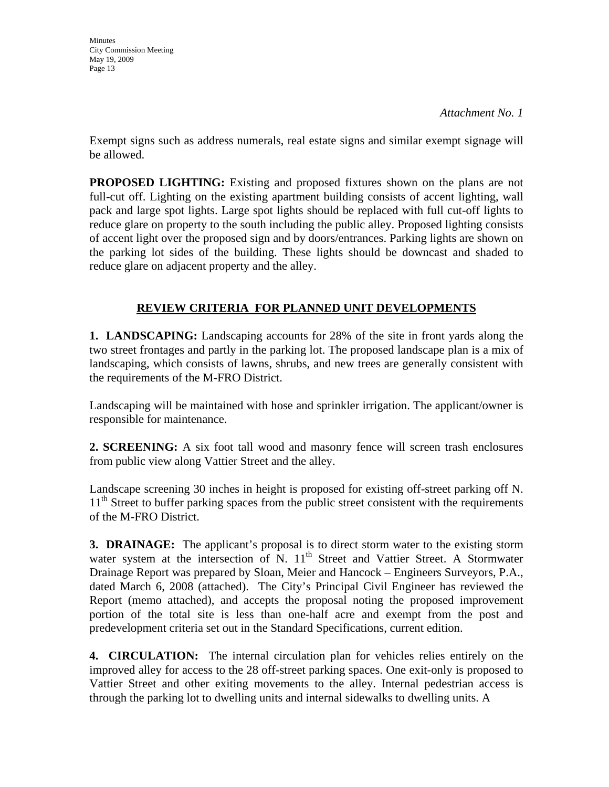**Minutes** 

*Attachment No. 1* 

Exempt signs such as address numerals, real estate signs and similar exempt signage will be allowed.

**PROPOSED LIGHTING:** Existing and proposed fixtures shown on the plans are not full-cut off. Lighting on the existing apartment building consists of accent lighting, wall pack and large spot lights. Large spot lights should be replaced with full cut-off lights to reduce glare on property to the south including the public alley. Proposed lighting consists of accent light over the proposed sign and by doors/entrances. Parking lights are shown on the parking lot sides of the building. These lights should be downcast and shaded to reduce glare on adjacent property and the alley.

# **REVIEW CRITERIA FOR PLANNED UNIT DEVELOPMENTS**

**1. LANDSCAPING:** Landscaping accounts for 28% of the site in front yards along the two street frontages and partly in the parking lot. The proposed landscape plan is a mix of landscaping, which consists of lawns, shrubs, and new trees are generally consistent with the requirements of the M-FRO District.

Landscaping will be maintained with hose and sprinkler irrigation. The applicant/owner is responsible for maintenance.

**2. SCREENING:** A six foot tall wood and masonry fence will screen trash enclosures from public view along Vattier Street and the alley.

Landscape screening 30 inches in height is proposed for existing off-street parking off N. 11<sup>th</sup> Street to buffer parking spaces from the public street consistent with the requirements of the M-FRO District.

**3. DRAINAGE:** The applicant's proposal is to direct storm water to the existing storm water system at the intersection of N.  $11<sup>th</sup>$  Street and Vattier Street. A Stormwater Drainage Report was prepared by Sloan, Meier and Hancock – Engineers Surveyors, P.A., dated March 6, 2008 (attached). The City's Principal Civil Engineer has reviewed the Report (memo attached), and accepts the proposal noting the proposed improvement portion of the total site is less than one-half acre and exempt from the post and predevelopment criteria set out in the Standard Specifications, current edition.

**4. CIRCULATION:** The internal circulation plan for vehicles relies entirely on the improved alley for access to the 28 off-street parking spaces. One exit-only is proposed to Vattier Street and other exiting movements to the alley. Internal pedestrian access is through the parking lot to dwelling units and internal sidewalks to dwelling units. A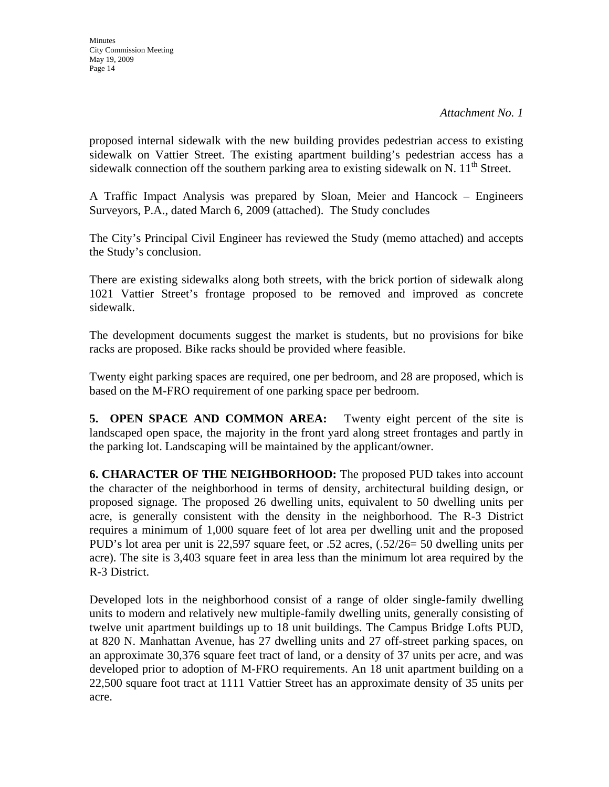**Minutes** City Commission Meeting May 19, 2009 Page 14

proposed internal sidewalk with the new building provides pedestrian access to existing sidewalk on Vattier Street. The existing apartment building's pedestrian access has a sidewalk connection off the southern parking area to existing sidewalk on N.  $11<sup>th</sup>$  Street.

A Traffic Impact Analysis was prepared by Sloan, Meier and Hancock – Engineers Surveyors, P.A., dated March 6, 2009 (attached). The Study concludes

The City's Principal Civil Engineer has reviewed the Study (memo attached) and accepts the Study's conclusion.

There are existing sidewalks along both streets, with the brick portion of sidewalk along 1021 Vattier Street's frontage proposed to be removed and improved as concrete sidewalk.

The development documents suggest the market is students, but no provisions for bike racks are proposed. Bike racks should be provided where feasible.

Twenty eight parking spaces are required, one per bedroom, and 28 are proposed, which is based on the M-FRO requirement of one parking space per bedroom.

**5. OPEN SPACE AND COMMON AREA:** Twenty eight percent of the site is landscaped open space, the majority in the front yard along street frontages and partly in the parking lot. Landscaping will be maintained by the applicant/owner.

**6. CHARACTER OF THE NEIGHBORHOOD:** The proposed PUD takes into account the character of the neighborhood in terms of density, architectural building design, or proposed signage. The proposed 26 dwelling units, equivalent to 50 dwelling units per acre, is generally consistent with the density in the neighborhood. The R-3 District requires a minimum of 1,000 square feet of lot area per dwelling unit and the proposed PUD's lot area per unit is 22,597 square feet, or .52 acres, (.52/26= 50 dwelling units per acre). The site is 3,403 square feet in area less than the minimum lot area required by the R-3 District.

Developed lots in the neighborhood consist of a range of older single-family dwelling units to modern and relatively new multiple-family dwelling units, generally consisting of twelve unit apartment buildings up to 18 unit buildings. The Campus Bridge Lofts PUD, at 820 N. Manhattan Avenue, has 27 dwelling units and 27 off-street parking spaces, on an approximate 30,376 square feet tract of land, or a density of 37 units per acre, and was developed prior to adoption of M-FRO requirements. An 18 unit apartment building on a 22,500 square foot tract at 1111 Vattier Street has an approximate density of 35 units per acre.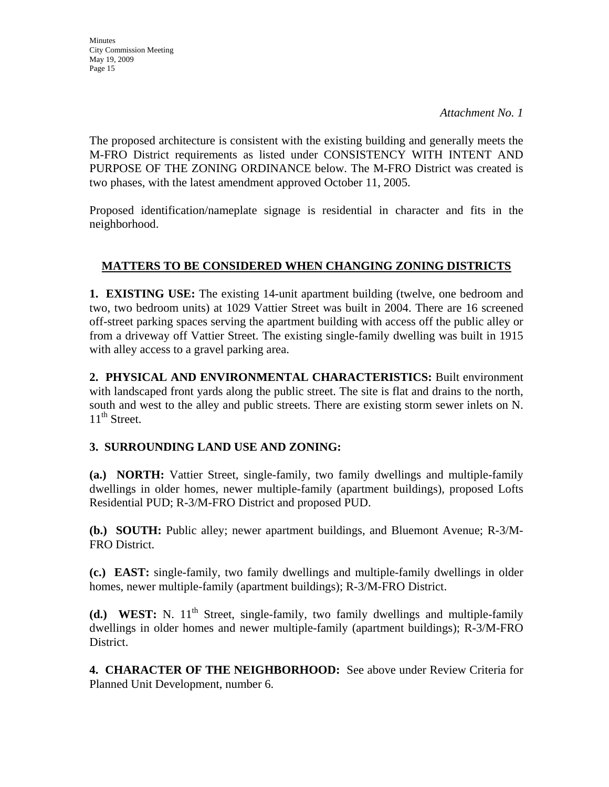**Minutes** City Commission Meeting May 19, 2009 Page 15

The proposed architecture is consistent with the existing building and generally meets the M-FRO District requirements as listed under CONSISTENCY WITH INTENT AND PURPOSE OF THE ZONING ORDINANCE below. The M-FRO District was created is two phases, with the latest amendment approved October 11, 2005.

Proposed identification/nameplate signage is residential in character and fits in the neighborhood.

# **MATTERS TO BE CONSIDERED WHEN CHANGING ZONING DISTRICTS**

**1. EXISTING USE:** The existing 14-unit apartment building (twelve, one bedroom and two, two bedroom units) at 1029 Vattier Street was built in 2004. There are 16 screened off-street parking spaces serving the apartment building with access off the public alley or from a driveway off Vattier Street. The existing single-family dwelling was built in 1915 with alley access to a gravel parking area.

**2. PHYSICAL AND ENVIRONMENTAL CHARACTERISTICS:** Built environment with landscaped front yards along the public street. The site is flat and drains to the north, south and west to the alley and public streets. There are existing storm sewer inlets on N.  $11^{th}$  Street.

# **3. SURROUNDING LAND USE AND ZONING:**

**(a.) NORTH:** Vattier Street, single-family, two family dwellings and multiple-family dwellings in older homes, newer multiple-family (apartment buildings), proposed Lofts Residential PUD; R-3/M-FRO District and proposed PUD.

**(b.) SOUTH:** Public alley; newer apartment buildings, and Bluemont Avenue; R-3/M-FRO District.

**(c.) EAST:** single-family, two family dwellings and multiple-family dwellings in older homes, newer multiple-family (apartment buildings); R-3/M-FRO District.

**(d.) WEST:** N. 11<sup>th</sup> Street, single-family, two family dwellings and multiple-family dwellings in older homes and newer multiple-family (apartment buildings); R-3/M-FRO District.

**4. CHARACTER OF THE NEIGHBORHOOD:** See above under Review Criteria for Planned Unit Development, number 6.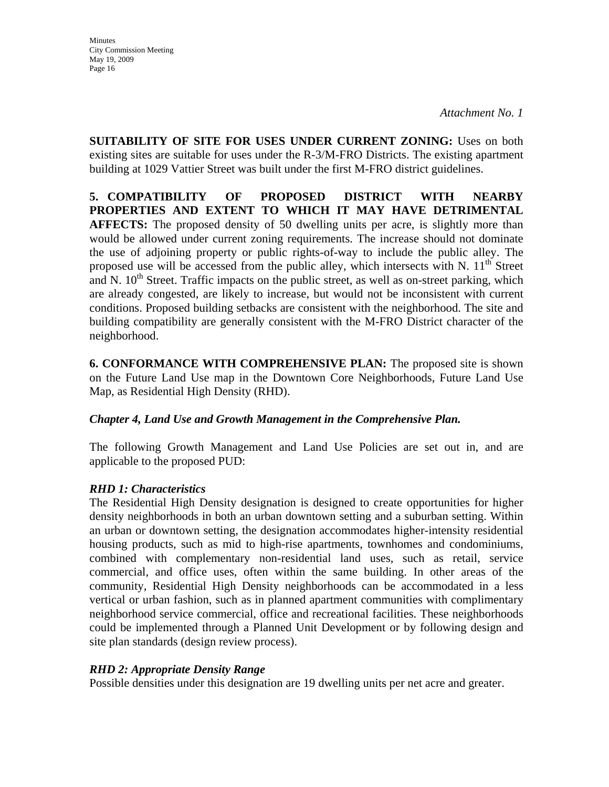*Attachment No. 1* 

**SUITABILITY OF SITE FOR USES UNDER CURRENT ZONING:** Uses on both existing sites are suitable for uses under the R-3/M-FRO Districts. The existing apartment building at 1029 Vattier Street was built under the first M-FRO district guidelines.

**5. COMPATIBILITY OF PROPOSED DISTRICT WITH NEARBY PROPERTIES AND EXTENT TO WHICH IT MAY HAVE DETRIMENTAL AFFECTS:** The proposed density of 50 dwelling units per acre, is slightly more than would be allowed under current zoning requirements. The increase should not dominate the use of adjoining property or public rights-of-way to include the public alley. The proposed use will be accessed from the public alley, which intersects with N.  $11<sup>th</sup>$  Street and N.  $10<sup>th</sup>$  Street. Traffic impacts on the public street, as well as on-street parking, which are already congested, are likely to increase, but would not be inconsistent with current conditions. Proposed building setbacks are consistent with the neighborhood. The site and building compatibility are generally consistent with the M-FRO District character of the neighborhood.

**6. CONFORMANCE WITH COMPREHENSIVE PLAN:** The proposed site is shown on the Future Land Use map in the Downtown Core Neighborhoods, Future Land Use Map, as Residential High Density (RHD).

### *Chapter 4, Land Use and Growth Management in the Comprehensive Plan.*

The following Growth Management and Land Use Policies are set out in, and are applicable to the proposed PUD:

# *RHD 1: Characteristics*

The Residential High Density designation is designed to create opportunities for higher density neighborhoods in both an urban downtown setting and a suburban setting. Within an urban or downtown setting, the designation accommodates higher-intensity residential housing products, such as mid to high-rise apartments, townhomes and condominiums, combined with complementary non-residential land uses, such as retail, service commercial, and office uses, often within the same building. In other areas of the community, Residential High Density neighborhoods can be accommodated in a less vertical or urban fashion, such as in planned apartment communities with complimentary neighborhood service commercial, office and recreational facilities. These neighborhoods could be implemented through a Planned Unit Development or by following design and site plan standards (design review process).

### *RHD 2: Appropriate Density Range*

Possible densities under this designation are 19 dwelling units per net acre and greater.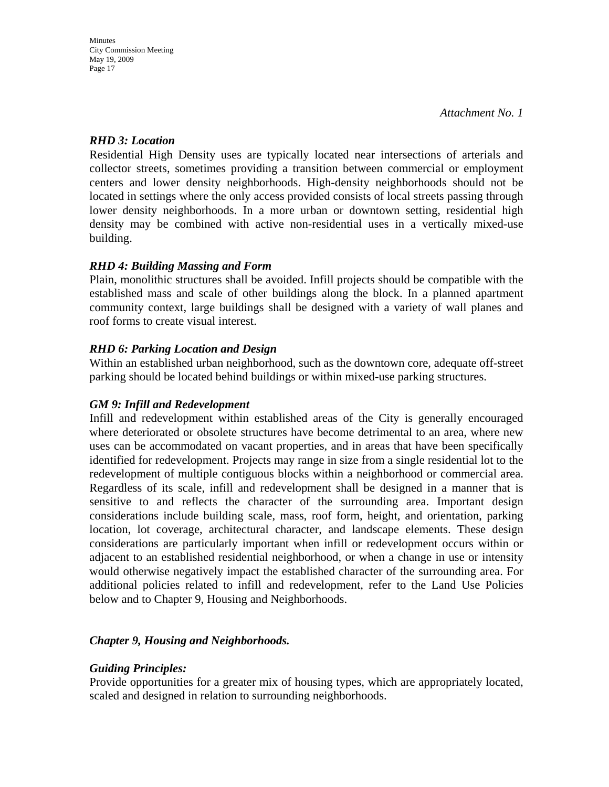## *RHD 3: Location*

Residential High Density uses are typically located near intersections of arterials and collector streets, sometimes providing a transition between commercial or employment centers and lower density neighborhoods. High-density neighborhoods should not be located in settings where the only access provided consists of local streets passing through lower density neighborhoods. In a more urban or downtown setting, residential high density may be combined with active non-residential uses in a vertically mixed-use building.

## *RHD 4: Building Massing and Form*

Plain, monolithic structures shall be avoided. Infill projects should be compatible with the established mass and scale of other buildings along the block. In a planned apartment community context, large buildings shall be designed with a variety of wall planes and roof forms to create visual interest.

## *RHD 6: Parking Location and Design*

Within an established urban neighborhood, such as the downtown core, adequate off-street parking should be located behind buildings or within mixed-use parking structures.

# *GM 9: Infill and Redevelopment*

Infill and redevelopment within established areas of the City is generally encouraged where deteriorated or obsolete structures have become detrimental to an area, where new uses can be accommodated on vacant properties, and in areas that have been specifically identified for redevelopment. Projects may range in size from a single residential lot to the redevelopment of multiple contiguous blocks within a neighborhood or commercial area. Regardless of its scale, infill and redevelopment shall be designed in a manner that is sensitive to and reflects the character of the surrounding area. Important design considerations include building scale, mass, roof form, height, and orientation, parking location, lot coverage, architectural character, and landscape elements. These design considerations are particularly important when infill or redevelopment occurs within or adjacent to an established residential neighborhood, or when a change in use or intensity would otherwise negatively impact the established character of the surrounding area. For additional policies related to infill and redevelopment, refer to the Land Use Policies below and to Chapter 9, Housing and Neighborhoods.

# *Chapter 9, Housing and Neighborhoods.*

### *Guiding Principles:*

Provide opportunities for a greater mix of housing types, which are appropriately located, scaled and designed in relation to surrounding neighborhoods.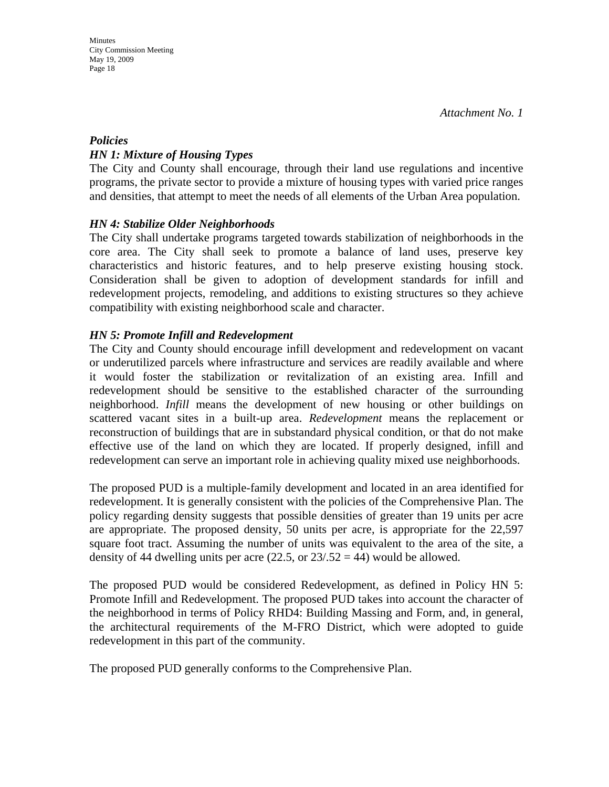## *Policies HN 1: Mixture of Housing Types*

The City and County shall encourage, through their land use regulations and incentive programs, the private sector to provide a mixture of housing types with varied price ranges and densities, that attempt to meet the needs of all elements of the Urban Area population.

# *HN 4: Stabilize Older Neighborhoods*

The City shall undertake programs targeted towards stabilization of neighborhoods in the core area. The City shall seek to promote a balance of land uses, preserve key characteristics and historic features, and to help preserve existing housing stock. Consideration shall be given to adoption of development standards for infill and redevelopment projects, remodeling, and additions to existing structures so they achieve compatibility with existing neighborhood scale and character.

# *HN 5: Promote Infill and Redevelopment*

The City and County should encourage infill development and redevelopment on vacant or underutilized parcels where infrastructure and services are readily available and where it would foster the stabilization or revitalization of an existing area. Infill and redevelopment should be sensitive to the established character of the surrounding neighborhood. *Infill* means the development of new housing or other buildings on scattered vacant sites in a built-up area. *Redevelopment* means the replacement or reconstruction of buildings that are in substandard physical condition, or that do not make effective use of the land on which they are located. If properly designed, infill and redevelopment can serve an important role in achieving quality mixed use neighborhoods.

The proposed PUD is a multiple-family development and located in an area identified for redevelopment. It is generally consistent with the policies of the Comprehensive Plan. The policy regarding density suggests that possible densities of greater than 19 units per acre are appropriate. The proposed density, 50 units per acre, is appropriate for the 22,597 square foot tract. Assuming the number of units was equivalent to the area of the site, a density of 44 dwelling units per acre  $(22.5, \text{ or } 23/0.52 = 44)$  would be allowed.

The proposed PUD would be considered Redevelopment, as defined in Policy HN 5: Promote Infill and Redevelopment. The proposed PUD takes into account the character of the neighborhood in terms of Policy RHD4: Building Massing and Form, and, in general, the architectural requirements of the M-FRO District, which were adopted to guide redevelopment in this part of the community.

The proposed PUD generally conforms to the Comprehensive Plan.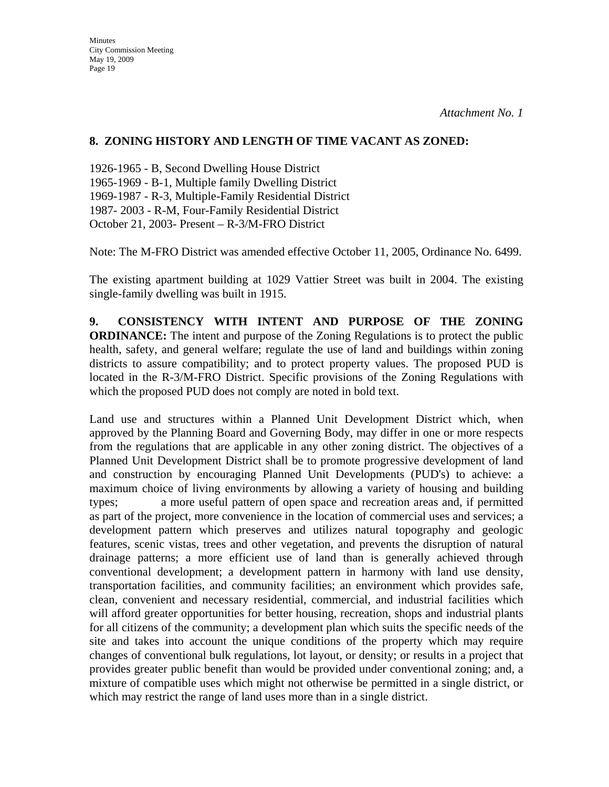#### **8. ZONING HISTORY AND LENGTH OF TIME VACANT AS ZONED:**

1926-1965 - B, Second Dwelling House District 1965-1969 - B-1, Multiple family Dwelling District 1969-1987 - R-3, Multiple-Family Residential District 1987- 2003 - R-M, Four-Family Residential District October 21, 2003- Present – R-3/M-FRO District

Note: The M-FRO District was amended effective October 11, 2005, Ordinance No. 6499.

The existing apartment building at 1029 Vattier Street was built in 2004. The existing single-family dwelling was built in 1915.

**9. CONSISTENCY WITH INTENT AND PURPOSE OF THE ZONING ORDINANCE:** The intent and purpose of the Zoning Regulations is to protect the public health, safety, and general welfare; regulate the use of land and buildings within zoning districts to assure compatibility; and to protect property values. The proposed PUD is located in the R-3/M-FRO District. Specific provisions of the Zoning Regulations with which the proposed PUD does not comply are noted in bold text.

Land use and structures within a Planned Unit Development District which, when approved by the Planning Board and Governing Body, may differ in one or more respects from the regulations that are applicable in any other zoning district. The objectives of a Planned Unit Development District shall be to promote progressive development of land and construction by encouraging Planned Unit Developments (PUD's) to achieve: a maximum choice of living environments by allowing a variety of housing and building types; a more useful pattern of open space and recreation areas and, if permitted as part of the project, more convenience in the location of commercial uses and services; a development pattern which preserves and utilizes natural topography and geologic features, scenic vistas, trees and other vegetation, and prevents the disruption of natural drainage patterns; a more efficient use of land than is generally achieved through conventional development; a development pattern in harmony with land use density, transportation facilities, and community facilities; an environment which provides safe, clean, convenient and necessary residential, commercial, and industrial facilities which will afford greater opportunities for better housing, recreation, shops and industrial plants for all citizens of the community; a development plan which suits the specific needs of the site and takes into account the unique conditions of the property which may require changes of conventional bulk regulations, lot layout, or density; or results in a project that provides greater public benefit than would be provided under conventional zoning; and, a mixture of compatible uses which might not otherwise be permitted in a single district, or which may restrict the range of land uses more than in a single district.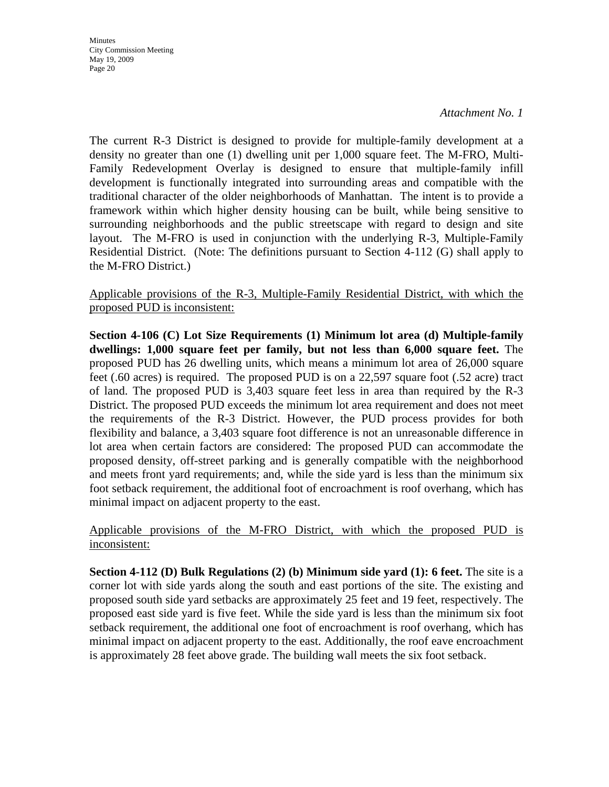#### *Attachment No. 1*

The current R-3 District is designed to provide for multiple-family development at a density no greater than one (1) dwelling unit per 1,000 square feet. The M-FRO, Multi-Family Redevelopment Overlay is designed to ensure that multiple-family infill development is functionally integrated into surrounding areas and compatible with the traditional character of the older neighborhoods of Manhattan. The intent is to provide a framework within which higher density housing can be built, while being sensitive to surrounding neighborhoods and the public streetscape with regard to design and site layout. The M-FRO is used in conjunction with the underlying R-3, Multiple-Family Residential District. (Note: The definitions pursuant to Section 4-112 (G) shall apply to the M-FRO District.)

Applicable provisions of the R-3, Multiple-Family Residential District, with which the proposed PUD is inconsistent:

**Section 4-106 (C) Lot Size Requirements (1) Minimum lot area (d) Multiple-family dwellings: 1,000 square feet per family, but not less than 6,000 square feet.** The proposed PUD has 26 dwelling units, which means a minimum lot area of 26,000 square feet (.60 acres) is required. The proposed PUD is on a 22,597 square foot (.52 acre) tract of land. The proposed PUD is 3,403 square feet less in area than required by the R-3 District. The proposed PUD exceeds the minimum lot area requirement and does not meet the requirements of the R-3 District. However, the PUD process provides for both flexibility and balance, a 3,403 square foot difference is not an unreasonable difference in lot area when certain factors are considered: The proposed PUD can accommodate the proposed density, off-street parking and is generally compatible with the neighborhood and meets front yard requirements; and, while the side yard is less than the minimum six foot setback requirement, the additional foot of encroachment is roof overhang, which has minimal impact on adjacent property to the east.

Applicable provisions of the M-FRO District, with which the proposed PUD is inconsistent:

**Section 4-112 (D) Bulk Regulations (2) (b) Minimum side yard (1): 6 feet.** The site is a corner lot with side yards along the south and east portions of the site. The existing and proposed south side yard setbacks are approximately 25 feet and 19 feet, respectively. The proposed east side yard is five feet. While the side yard is less than the minimum six foot setback requirement, the additional one foot of encroachment is roof overhang, which has minimal impact on adjacent property to the east. Additionally, the roof eave encroachment is approximately 28 feet above grade. The building wall meets the six foot setback.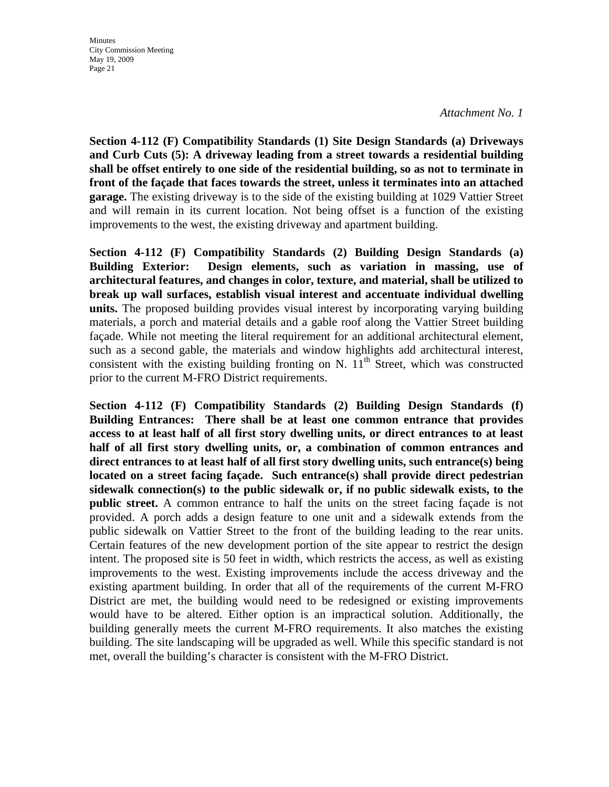*Attachment No. 1* 

**Section 4-112 (F) Compatibility Standards (1) Site Design Standards (a) Driveways and Curb Cuts (5): A driveway leading from a street towards a residential building shall be offset entirely to one side of the residential building, so as not to terminate in front of the façade that faces towards the street, unless it terminates into an attached garage.** The existing driveway is to the side of the existing building at 1029 Vattier Street and will remain in its current location. Not being offset is a function of the existing improvements to the west, the existing driveway and apartment building.

**Section 4-112 (F) Compatibility Standards (2) Building Design Standards (a) Building Exterior: Design elements, such as variation in massing, use of architectural features, and changes in color, texture, and material, shall be utilized to break up wall surfaces, establish visual interest and accentuate individual dwelling units.** The proposed building provides visual interest by incorporating varying building materials, a porch and material details and a gable roof along the Vattier Street building façade. While not meeting the literal requirement for an additional architectural element, such as a second gable, the materials and window highlights add architectural interest, consistent with the existing building fronting on N.  $11<sup>th</sup>$  Street, which was constructed prior to the current M-FRO District requirements.

**Section 4-112 (F) Compatibility Standards (2) Building Design Standards (f) Building Entrances: There shall be at least one common entrance that provides access to at least half of all first story dwelling units, or direct entrances to at least half of all first story dwelling units, or, a combination of common entrances and direct entrances to at least half of all first story dwelling units, such entrance(s) being located on a street facing façade. Such entrance(s) shall provide direct pedestrian sidewalk connection(s) to the public sidewalk or, if no public sidewalk exists, to the public street.** A common entrance to half the units on the street facing façade is not provided. A porch adds a design feature to one unit and a sidewalk extends from the public sidewalk on Vattier Street to the front of the building leading to the rear units. Certain features of the new development portion of the site appear to restrict the design intent. The proposed site is 50 feet in width, which restricts the access, as well as existing improvements to the west. Existing improvements include the access driveway and the existing apartment building. In order that all of the requirements of the current M-FRO District are met, the building would need to be redesigned or existing improvements would have to be altered. Either option is an impractical solution. Additionally, the building generally meets the current M-FRO requirements. It also matches the existing building. The site landscaping will be upgraded as well. While this specific standard is not met, overall the building's character is consistent with the M-FRO District.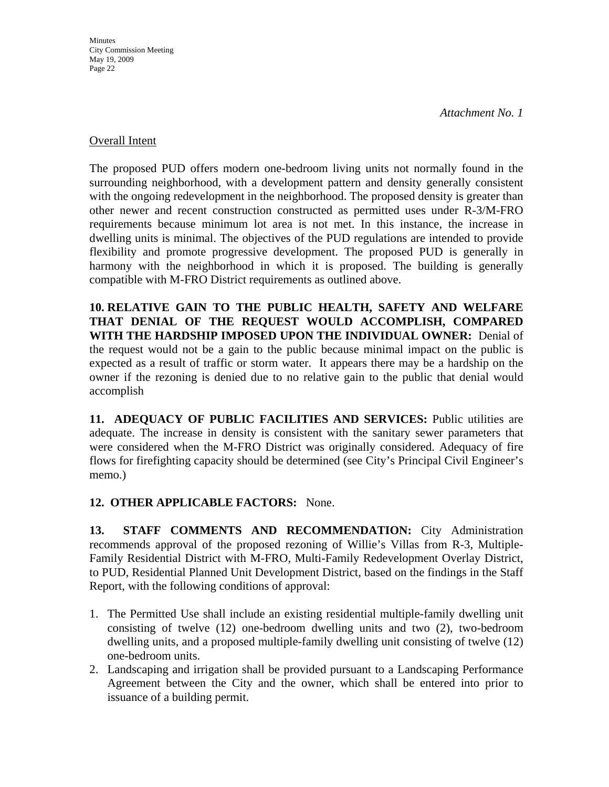#### Overall Intent

The proposed PUD offers modern one-bedroom living units not normally found in the surrounding neighborhood, with a development pattern and density generally consistent with the ongoing redevelopment in the neighborhood. The proposed density is greater than other newer and recent construction constructed as permitted uses under R-3/M-FRO requirements because minimum lot area is not met. In this instance, the increase in dwelling units is minimal. The objectives of the PUD regulations are intended to provide flexibility and promote progressive development. The proposed PUD is generally in harmony with the neighborhood in which it is proposed. The building is generally compatible with M-FRO District requirements as outlined above.

**10. RELATIVE GAIN TO THE PUBLIC HEALTH, SAFETY AND WELFARE THAT DENIAL OF THE REQUEST WOULD ACCOMPLISH, COMPARED WITH THE HARDSHIP IMPOSED UPON THE INDIVIDUAL OWNER:** Denial of the request would not be a gain to the public because minimal impact on the public is expected as a result of traffic or storm water. It appears there may be a hardship on the owner if the rezoning is denied due to no relative gain to the public that denial would accomplish

**11. ADEQUACY OF PUBLIC FACILITIES AND SERVICES:** Public utilities are adequate. The increase in density is consistent with the sanitary sewer parameters that were considered when the M-FRO District was originally considered. Adequacy of fire flows for firefighting capacity should be determined (see City's Principal Civil Engineer's memo.)

# **12. OTHER APPLICABLE FACTORS:** None.

**13. STAFF COMMENTS AND RECOMMENDATION:** City Administration recommends approval of the proposed rezoning of Willie's Villas from R-3, Multiple-Family Residential District with M-FRO, Multi-Family Redevelopment Overlay District, to PUD, Residential Planned Unit Development District, based on the findings in the Staff Report, with the following conditions of approval:

- 1. The Permitted Use shall include an existing residential multiple-family dwelling unit consisting of twelve (12) one-bedroom dwelling units and two (2), two-bedroom dwelling units, and a proposed multiple-family dwelling unit consisting of twelve (12) one-bedroom units.
- 2. Landscaping and irrigation shall be provided pursuant to a Landscaping Performance Agreement between the City and the owner, which shall be entered into prior to issuance of a building permit.